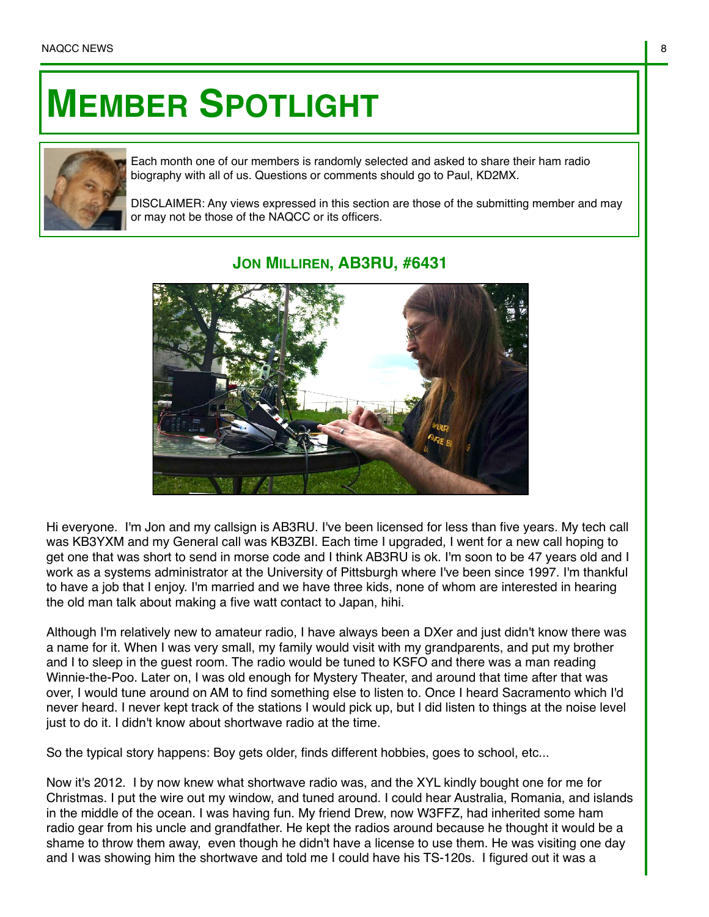## **MEMBER SPOTLIGHT**



Each month one of our members is randomly selected and asked to share their ham radio biography with all of us. Questions or comments should go to Paul, KD2MX.

DISCLAIMER: Any views expressed in this section are those of the submitting member and may or may not be those of the NAQCC or its officers.

## **JON MILLIREN, AB3RU, #6431**

Hi everyone. I'm Jon and my callsign is AB3RU. I've been licensed for less than five years. My tech call was KB3YXM and my General call was KB3ZBI. Each time I upgraded, I went for a new call hoping to get one that was short to send in morse code and I think AB3RU is ok. I'm soon to be 47 years old and I work as a systems administrator at the University of Pittsburgh where I've been since 1997. I'm thankful to have a job that I enjoy. I'm married and we have three kids, none of whom are interested in hearing the old man talk about making a five watt contact to Japan, hihi.

Although I'm relatively new to amateur radio, I have always been a DXer and just didn't know there was a name for it. When I was very small, my family would visit with my grandparents, and put my brother and I to sleep in the guest room. The radio would be tuned to KSFO and there was a man reading Winnie-the-Poo. Later on, I was old enough for Mystery Theater, and around that time after that was over, I would tune around on AM to find something else to listen to. Once I heard Sacramento which I'd never heard. I never kept track of the stations I would pick up, but I did listen to things at the noise level just to do it. I didn't know about shortwave radio at the time.

So the typical story happens: Boy gets older, finds different hobbies, goes to school, etc...

Now it's 2012. I by now knew what shortwave radio was, and the XYL kindly bought one for me for Christmas. I put the wire out my window, and tuned around. I could hear Australia, Romania, and islands in the middle of the ocean. I was having fun. My friend Drew, now W3FFZ, had inherited some ham radio gear from his uncle and grandfather. He kept the radios around because he thought it would be a shame to throw them away, even though he didn't have a license to use them. He was visiting one day and I was showing him the shortwave and told me I could have his TS-120s. I figured out it was a